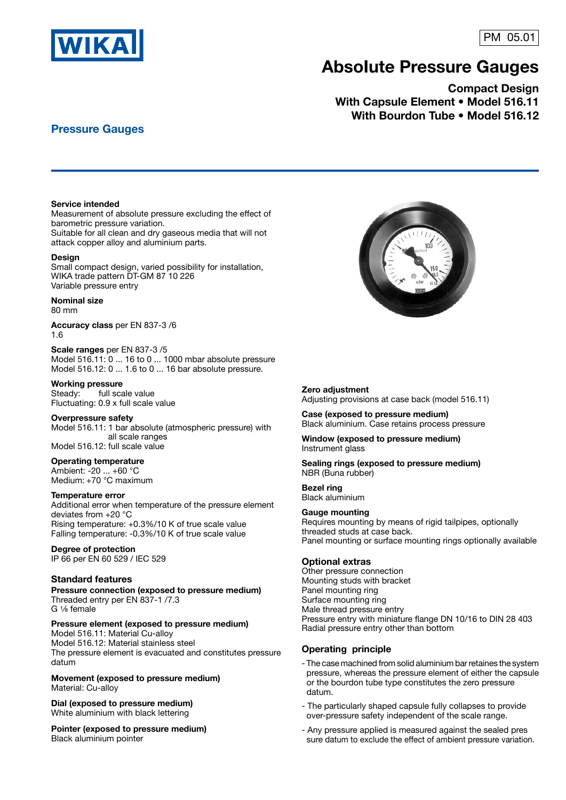

# PM 05.01

# **AbsoIute Pressure Gauges**

**Compact Design With Capsule Element • Model 516.11 With Bourdon Tube • Model 516.12**

# **Pressure Gauges**

#### **Service intended**

Measurement of absolute pressure excluding the effect of barometric pressure variation. Suitable for all clean and dry gaseous media that will not attack copper alloy and aluminium parts.

#### **Design**

Small compact design, varied possibility for installation, WIKA trade pattern DT-GM 87 10 226 Variable pressure entry

#### **Nominal size**

80 mm

**Accuracy class** per EN 837-3 /6 1.6

**Scale ranges** per EN 837-3 /5 Model 516.11: 0 ... 16 to 0 ... 1000 mbar absolute pressure Model 516.12: 0 ... 1.6 to 0 ... 16 bar absolute pressure.

#### **Working pressure**

Steady: full scale value Fluctuating: 0.9 x full scale value

#### **Overpressure safety**

Model 516.11: 1 bar absolute (atmospheric pressure) with all scale ranges Model 516.12: full scale value

#### **Operating temperature**

Ambient: -20 ... +60 °C Medium: +70 °C maximum

#### **Temperature error**

Additional error when temperature of the pressure element deviates from +20 °C Rising temperature: +0.3%/10 K of true scale value Falling temperature: -0.3%/10 K of true scale value

### **Degree of protection**

IP 66 per EN 60 529 / IEC 529

#### **Standard features**

**Pressure connection (exposed to pressure medium)** Threaded entry per EN 837-1 /7.3  $G \frac{1}{8}$  female

#### **Pressure element (exposed to pressure medium)**

Model 516.11: Material Cu-alloy Model 516.12: Material stainless steel The pressure element is evacuated and constitutes pressure datum

### **Movement (exposed to pressure medium)**

Material: Cu-alloy

**Dial (exposed to pressure medium)** White aluminium with black lettering

**Pointer (exposed to pressure medium)** Black aluminium pointer



#### **Zero adjustment**

Adjusting provisions at case back (model 516.11)

**Case (exposed to pressure medium)** Black aluminium. Case retains process pressure

**Window (exposed to pressure medium)** Instrument glass

**Sealing rings (exposed to pressure medium)** NBR (Buna rubber)

**Bezel ring** Black aluminium

#### **Gauge mounting**

Requires mounting by means of rigid tailpipes, optionally threaded studs at case back. Panel mounting or surface mounting rings optionally available

#### **Optional extras**

Other pressure connection Mounting studs with bracket Panel mounting ring Surface mounting ring Male thread pressure entry Pressure entry with miniature flange DN 10/16 to DIN 28 403 Radial pressure entry other than bottom

#### **Operating principle**

- The case machined from solid aluminium bar retaines the system pressure, whereas the pressure element of either the capsule or the bourdon tube type constitutes the zero pressure datum.
- The particularly shaped capsule fully collapses to provide over-pressure safety independent of the scale range.
- Any pressure applied is measured against the sealed pres sure datum to exclude the effect of ambient pressure variation.